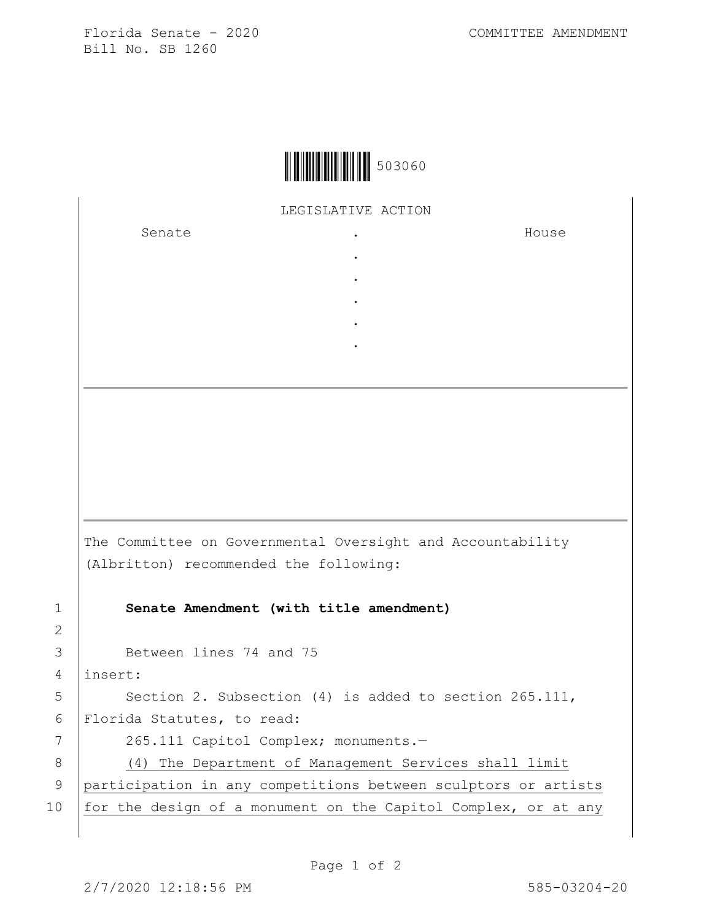Florida Senate - 2020 COMMITTEE AMENDMENT Bill No. SB 1260

LEGISLATIVE ACTION

. . . . .

Senate .

House

The Committee on Governmental Oversight and Accountability (Albritton) recommended the following: 1 **Senate Amendment (with title amendment)**

3 Between lines 74 and 75

4 insert:

2

5 | Section 2. Subsection (4) is added to section 265.111, 6 Florida Statutes, to read:

7 | 265.111 Capitol Complex; monuments.-

8 (4) The Department of Management Services shall limit 9 participation in any competitions between sculptors or artists 10 for the design of a monument on the Capitol Complex, or at any